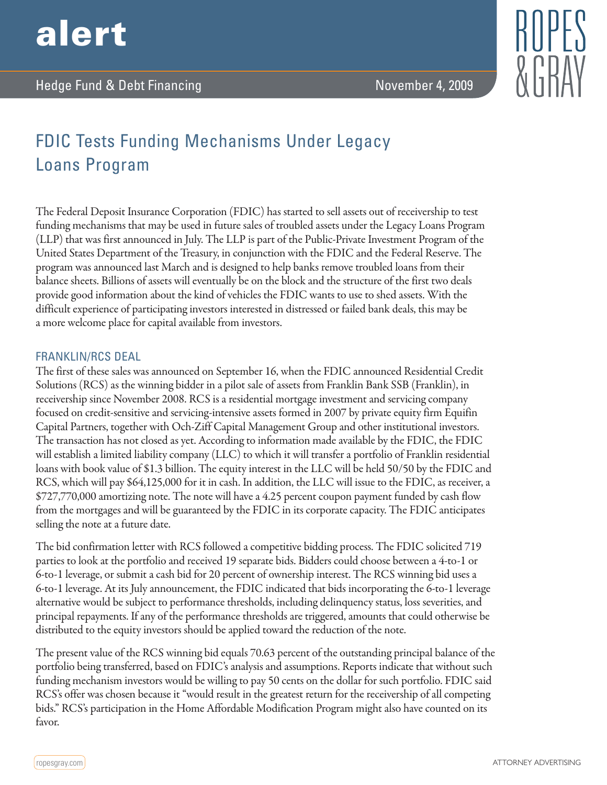

## FDIC Tests Funding Mechanisms Under Legacy Loans Program

The Federal Deposit Insurance Corporation (FDIC) has started to sell assets out of receivership to test funding mechanisms that may be used in future sales of troubled assets under the Legacy Loans Program (LLP) that was first announced in July. The LLP is part of the Public-Private Investment Program of the United States Department of the Treasury, in conjunction with the FDIC and the Federal Reserve. The program was announced last March and is designed to help banks remove troubled loans from their balance sheets. Billions of assets will eventually be on the block and the structure of the first two deals provide good information about the kind of vehicles the FDIC wants to use to shed assets. With the difficult experience of participating investors interested in distressed or failed bank deals, this may be a more welcome place for capital available from investors.

## FRANKLIN/RCS DEAL

The first of these sales was announced on September 16, when the FDIC announced Residential Credit Solutions (RCS) as the winning bidder in a pilot sale of assets from Franklin Bank SSB (Franklin), in receivership since November 2008. RCS is a residential mortgage investment and servicing company focused on credit-sensitive and servicing-intensive assets formed in 2007 by private equity firm Equifin Capital Partners, together with Och-Ziff Capital Management Group and other institutional investors. The transaction has not closed as yet. According to information made available by the FDIC, the FDIC will establish a limited liability company (LLC) to which it will transfer a portfolio of Franklin residential loans with book value of \$1.3 billion. The equity interest in the LLC will be held 50/50 by the FDIC and RCS, which will pay \$64,125,000 for it in cash. In addition, the LLC will issue to the FDIC, as receiver, a \$727,770,000 amortizing note. The note will have a 4.25 percent coupon payment funded by cash flow from the mortgages and will be guaranteed by the FDIC in its corporate capacity. The FDIC anticipates selling the note at a future date.

The bid confirmation letter with RCS followed a competitive bidding process. The FDIC solicited 719 parties to look at the portfolio and received 19 separate bids. Bidders could choose between a 4-to-1 or 6-to-1 leverage, or submit a cash bid for 20 percent of ownership interest. The RCS winning bid uses a 6-to-1 leverage. At its July announcement, the FDIC indicated that bids incorporating the 6-to-1 leverage alternative would be subject to performance thresholds, including delinquency status, loss severities, and principal repayments. If any of the performance thresholds are triggered, amounts that could otherwise be distributed to the equity investors should be applied toward the reduction of the note.

The present value of the RCS winning bid equals 70.63 percent of the outstanding principal balance of the portfolio being transferred, based on FDIC's analysis and assumptions. Reports indicate that without such funding mechanism investors would be willing to pay 50 cents on the dollar for such portfolio. FDIC said RCS's offer was chosen because it "would result in the greatest return for the receivership of all competing bids." RCS's participation in the Home Affordable Modification Program might also have counted on its favor.